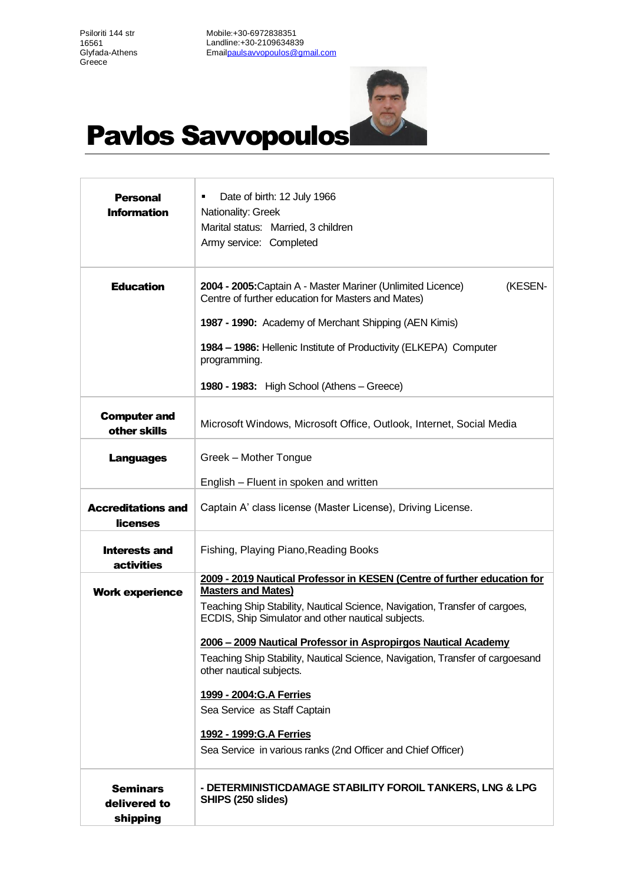Psiloriti 144 str 16561 Glyfada-Athens **Greece** 

Ï

Mobile:+30-6972838351 Landline:+30-2109634839 Ema[ilpaulsavvopoulos@gmail.com](mailto:paulsavvopoulos@gmail.com)



## Pavlos Savvopoulos

| <b>Personal</b><br><b>Information</b>       | Date of birth: 12 July 1966<br>Nationality: Greek<br>Marital status: Married, 3 children<br>Army service: Completed               |
|---------------------------------------------|-----------------------------------------------------------------------------------------------------------------------------------|
| <b>Education</b>                            | 2004 - 2005: Captain A - Master Mariner (Unlimited Licence)<br>(KESEN-<br>Centre of further education for Masters and Mates)      |
|                                             | 1987 - 1990: Academy of Merchant Shipping (AEN Kimis)                                                                             |
|                                             | 1984 - 1986: Hellenic Institute of Productivity (ELKEPA) Computer<br>programming.                                                 |
|                                             | 1980 - 1983: High School (Athens – Greece)                                                                                        |
| <b>Computer and</b><br>other skills         | Microsoft Windows, Microsoft Office, Outlook, Internet, Social Media                                                              |
| <b>Languages</b>                            | Greek - Mother Tongue                                                                                                             |
|                                             | English – Fluent in spoken and written                                                                                            |
| <b>Accreditations and</b><br>licenses       | Captain A' class license (Master License), Driving License.                                                                       |
| <b>Interests and</b><br><b>activities</b>   | Fishing, Playing Piano, Reading Books                                                                                             |
|                                             | 2009 - 2019 Nautical Professor in KESEN (Centre of further education for<br><b>Masters and Mates)</b>                             |
| <b>Work experience</b>                      | Teaching Ship Stability, Nautical Science, Navigation, Transfer of cargoes,<br>ECDIS, Ship Simulator and other nautical subjects. |
|                                             | 2006 - 2009 Nautical Professor in Aspropirgos Nautical Academy                                                                    |
|                                             | Teaching Ship Stability, Nautical Science, Navigation, Transfer of cargoesand<br>other nautical subjects.                         |
|                                             | 1999 - 2004: G.A Ferries                                                                                                          |
|                                             | Sea Service as Staff Captain                                                                                                      |
|                                             | 1992 - 1999: G.A Ferries                                                                                                          |
|                                             | Sea Service in various ranks (2nd Officer and Chief Officer)                                                                      |
| <b>Seminars</b><br>delivered to<br>shipping | - DETERMINISTICDAMAGE STABILITY FOROIL TANKERS, LNG & LPG<br>SHIPS (250 slides)                                                   |